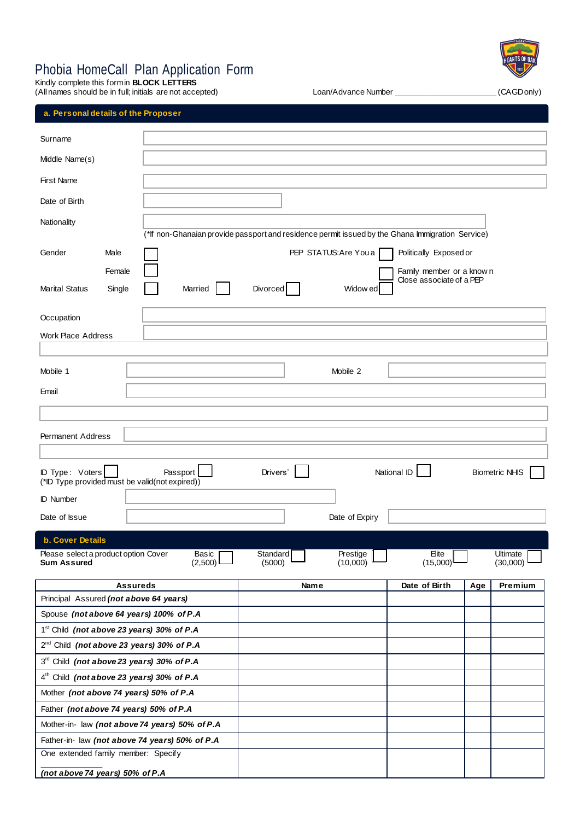# Phobia HomeCall Plan Application Form

Kindly complete this form in **BLOCK LETTERS** (All names should be in full; initials are not accepted) Loan/Advance Number \_\_\_\_\_\_\_\_\_\_\_\_\_\_\_\_\_\_\_\_\_\_\_ (CAGD only)



# **a. Personal details of the Proposer**

| Surname                                                                                         |                                                                                                  |                                    |                       |                                                       |     |                       |
|-------------------------------------------------------------------------------------------------|--------------------------------------------------------------------------------------------------|------------------------------------|-----------------------|-------------------------------------------------------|-----|-----------------------|
| Middle Name(s)                                                                                  |                                                                                                  |                                    |                       |                                                       |     |                       |
| <b>First Name</b>                                                                               |                                                                                                  |                                    |                       |                                                       |     |                       |
|                                                                                                 |                                                                                                  |                                    |                       |                                                       |     |                       |
| Date of Birth                                                                                   |                                                                                                  |                                    |                       |                                                       |     |                       |
| Nationality                                                                                     |                                                                                                  |                                    |                       |                                                       |     |                       |
|                                                                                                 | (*If non-Ghanaian provide passport and residence permit issued by the Ghana Immigration Service) |                                    |                       |                                                       |     |                       |
| Gender<br>Male                                                                                  |                                                                                                  |                                    | PEP STATUS: Are You a | Politically Exposed or                                |     |                       |
| Female                                                                                          |                                                                                                  |                                    |                       | Family member or a know n<br>Close associate of a PEP |     |                       |
| <b>Marital Status</b><br>Single                                                                 | Married                                                                                          | Divorced                           | Widow ed              |                                                       |     |                       |
|                                                                                                 |                                                                                                  |                                    |                       |                                                       |     |                       |
| Occupation                                                                                      |                                                                                                  |                                    |                       |                                                       |     |                       |
| <b>Work Place Address</b>                                                                       |                                                                                                  |                                    |                       |                                                       |     |                       |
|                                                                                                 |                                                                                                  |                                    |                       |                                                       |     |                       |
| Mobile 1                                                                                        |                                                                                                  |                                    | Mobile 2              |                                                       |     |                       |
| Email                                                                                           |                                                                                                  |                                    |                       |                                                       |     |                       |
|                                                                                                 |                                                                                                  |                                    |                       |                                                       |     |                       |
| <b>Permanent Address</b>                                                                        |                                                                                                  |                                    |                       |                                                       |     |                       |
|                                                                                                 |                                                                                                  |                                    |                       |                                                       |     |                       |
| ID Type: Voters                                                                                 | Passport                                                                                         | Drivers'                           |                       | National ID                                           |     | <b>Biometric NHIS</b> |
| (*ID Type provided must be valid(not expired))                                                  |                                                                                                  |                                    |                       |                                                       |     |                       |
| <b>ID Number</b>                                                                                |                                                                                                  |                                    |                       |                                                       |     |                       |
| Date of Issue                                                                                   |                                                                                                  |                                    | Date of Expiry        |                                                       |     |                       |
| <b>b. Cover Details</b>                                                                         |                                                                                                  |                                    |                       |                                                       |     |                       |
| Please select a product option Cover                                                            | Basic                                                                                            | Standard                           | Prestige              | Elite                                                 |     | Ultimate              |
| <b>Sum Assured</b>                                                                              | $(2,500)$ $\Box$                                                                                 | (5000)<br>$\overline{\phantom{0}}$ | $(10,000)$ —          | (15,000)                                              |     | $(30,000)$ —          |
|                                                                                                 | <b>Assureds</b>                                                                                  | Name                               |                       | Date of Birth                                         | Age | Premium               |
| Principal Assured (not above 64 years)                                                          |                                                                                                  |                                    |                       |                                                       |     |                       |
| Spouse (not above 64 years) 100% of P.A                                                         |                                                                                                  |                                    |                       |                                                       |     |                       |
| 1 <sup>st</sup> Child (not above 23 years) 30% of P.A                                           |                                                                                                  |                                    |                       |                                                       |     |                       |
| 2 <sup>nd</sup> Child (not above 23 years) 30% of P.A                                           |                                                                                                  |                                    |                       |                                                       |     |                       |
| 3rd Child (not above 23 years) 30% of P.A                                                       |                                                                                                  |                                    |                       |                                                       |     |                       |
| 4 <sup>th</sup> Child (not above 23 years) 30% of P.A<br>Mother (not above 74 years) 50% of P.A |                                                                                                  |                                    |                       |                                                       |     |                       |
| Father (not above 74 years) 50% of P.A                                                          |                                                                                                  |                                    |                       |                                                       |     |                       |
|                                                                                                 | Mother-in- law (not above 74 years) 50% of P.A                                                   |                                    |                       |                                                       |     |                       |
|                                                                                                 | Father-in- law (not above 74 years) 50% of P.A                                                   |                                    |                       |                                                       |     |                       |
| One extended family member: Specify                                                             |                                                                                                  |                                    |                       |                                                       |     |                       |
| (not above 74 years) 50% of P.A                                                                 |                                                                                                  |                                    |                       |                                                       |     |                       |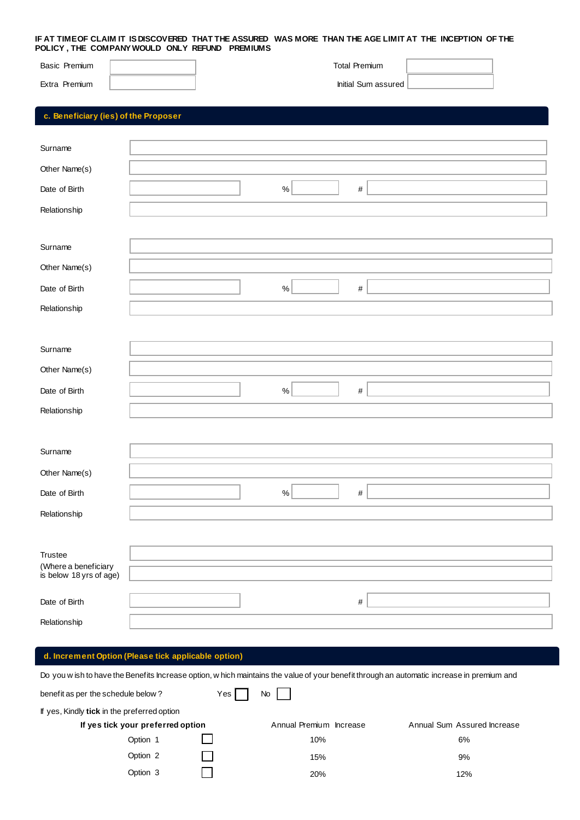#### **IF AT TIME OF CLAIM IT IS DISCOVERED THAT THE ASSURED WAS MORE THAN THE AGE LIMIT AT THE INCEPTION OF THE POLICY , THE COMPANY WOULD ONLY REFUND PREMIUMS**

| Basic Premium<br>Extra Premium       | <b>Total Premium</b><br>Initial Sum assured |  |
|--------------------------------------|---------------------------------------------|--|
| c. Beneficiary (ies) of the Proposer |                                             |  |
| Surname                              |                                             |  |
| Other Name(s)                        |                                             |  |
| Date of Birth                        | $\%$<br>$\#$                                |  |
| Relationship                         |                                             |  |
| Surname                              |                                             |  |
| Other Name(s)                        |                                             |  |
| Date of Birth                        | $\%$<br>$\#$                                |  |
| Relationship                         |                                             |  |
|                                      |                                             |  |
| Surname                              |                                             |  |
| Other Name(s)                        |                                             |  |
| Date of Birth                        | $\%$<br>$\#$                                |  |
| Relationship                         |                                             |  |
|                                      |                                             |  |
| Surname                              |                                             |  |
| Other Name(s)                        |                                             |  |
| Date of Birth                        | $\%$<br>$\#$                                |  |
| Relationship                         |                                             |  |
|                                      |                                             |  |
| Trustee<br>(Where a beneficiary      |                                             |  |
| is below 18 yrs of age)              |                                             |  |
| Date of Birth                        | $\#$                                        |  |
| Relationship                         |                                             |  |

## **d. Increment Option (Please tick applicable option)**

I

Do you w ish to have the Benefits Increase option, w hich maintains the value of your benefit through an automatic increase in premium and

| benefit as per the schedule below?          | Yes | No                      |                             |
|---------------------------------------------|-----|-------------------------|-----------------------------|
| If yes, Kindly tick in the preferred option |     |                         |                             |
| If yes tick your preferred option           |     | Annual Premium Increase | Annual Sum Assured Increase |
| Option 1                                    |     | 10%                     | 6%                          |
| Option 2                                    |     | 15%                     | 9%                          |
| Option 3                                    |     | 20%                     | 12%                         |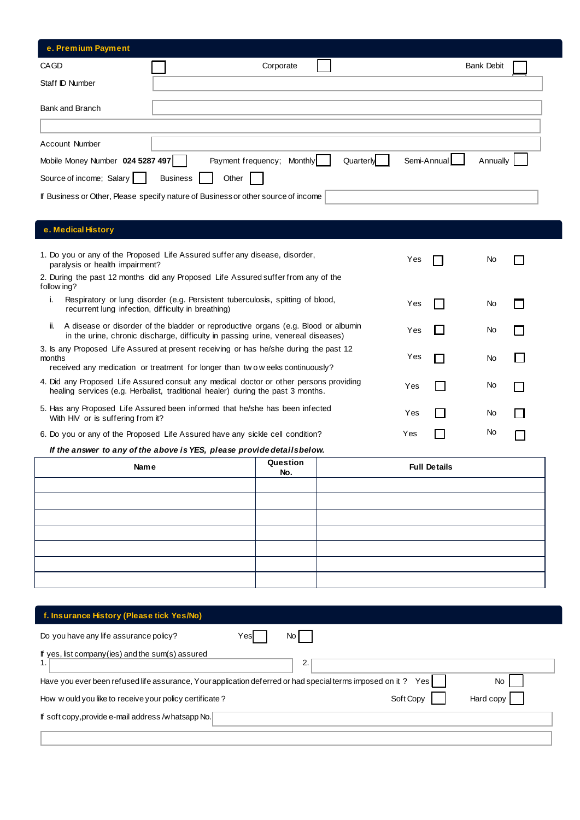| e. Premium Payment               |                                                                                   |                   |
|----------------------------------|-----------------------------------------------------------------------------------|-------------------|
| CAGD                             | Corporate                                                                         | <b>Bank Debit</b> |
| Staff ID Number                  |                                                                                   |                   |
| Bank and Branch                  |                                                                                   |                   |
|                                  |                                                                                   |                   |
| Account Number                   |                                                                                   |                   |
| Mobile Money Number 024 5287 497 | Semi-Annual<br>Payment frequency; Monthly<br>Quarterly                            | Annually          |
| Source of income; Salary         | <b>Business</b><br>Other                                                          |                   |
|                                  | If Business or Other, Please specify nature of Business or other source of income |                   |

# **e. Medical History**

| 1. Do you or any of the Proposed Life Assured suffer any disease, disorder,<br>paralysis or health impairment?                                                                  | Yes | No. |  |
|---------------------------------------------------------------------------------------------------------------------------------------------------------------------------------|-----|-----|--|
| 2. During the past 12 months did any Proposed Life Assured suffer from any of the<br>follow ing?                                                                                |     |     |  |
| Respiratory or lung disorder (e.g. Persistent tuberculosis, spitting of blood,<br>ı.<br>recurrent lung infection, difficulty in breathing)                                      | Yes | No. |  |
| A disease or disorder of the bladder or reproductive organs (e.g. Blood or albumin<br>ii.<br>in the urine, chronic discharge, difficulty in passing urine, venereal diseases)   | Yes | No. |  |
| 3. Is any Proposed Life Assured at present receiving or has he/she during the past 12<br>months<br>received any medication or treatment for longer than two weeks continuously? | Yes | No. |  |
| 4. Did any Proposed Life Assured consult any medical doctor or other persons providing<br>healing services (e.g. Herbalist, traditional healer) during the past 3 months.       | Yes | No. |  |
| 5. Has any Proposed Life Assured been informed that he/she has been infected<br>With HIV or is suffering from it?                                                               | Yes | No  |  |
| 6. Do you or any of the Proposed Life Assured have any sickle cell condition?                                                                                                   | Yes | No  |  |

### *If the answer to any of the above is YES, please provide details below.*

| Name | Question<br>No. | <b>Full Details</b> |
|------|-----------------|---------------------|
|      |                 |                     |
|      |                 |                     |
|      |                 |                     |
|      |                 |                     |
|      |                 |                     |
|      |                 |                     |
|      |                 |                     |

| f. Insurance History (Please tick Yes/No)                                                                                     |  |
|-------------------------------------------------------------------------------------------------------------------------------|--|
| Do you have any life assurance policy?<br>No<br>Yesl                                                                          |  |
| If yes, list company (ies) and the sum (s) assured<br>2.<br>1.                                                                |  |
| Have you ever been refused life assurance, Your application deferred or had special terms imposed on it?<br>Yesl<br><b>No</b> |  |
| Soft Copy<br>Hard copy<br>How would you like to receive your policy certificate?                                              |  |
| If soft copy, provide e-mail address /whatsapp No.                                                                            |  |
|                                                                                                                               |  |